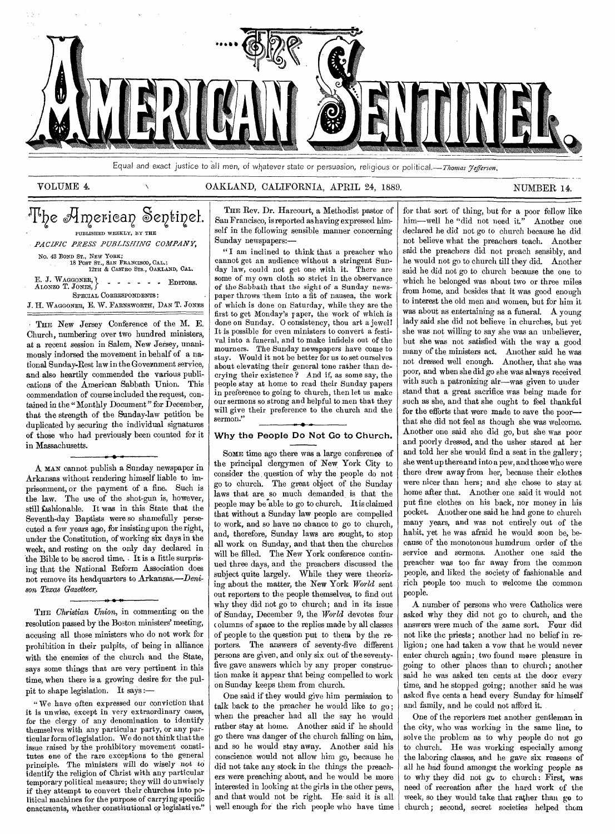

Equal and exact justice to all men, of whatever state or persuasion, religious or political.—Thomas Fefferson.

### VOLUME 4. OAKLAND, CALIFORNIA, APRIL 24, 1889. NUMBER 14.

## The American Sentinel. PUBLISHED WEEKLY, BY THE *PACIFIC PRESS PUBLISHING COMPANY,*  No. 43 BOND ST., NEW YORK; 18 POST ST., SAN FRANCISCO, CAL.; 12TH & CASTRO STS., OAKLAND, CAL. E. J. Waggon<mark>er, }</mark><br>Alonzo T. Jones, } SPECIAL CORRESPONDENTS: *J.* H. WAGGONER, E. W. FARNswoRTH, DAN T. JONES  $\therefore$   $\therefore$   $\therefore$   $\therefore$  EDITORS.

THE New Jersey Conference of the M. E. Church, numbering over two hundred ministers, at a recent session in Salem, New Jersey, unanimously indorsed the movement in behalf of a national Sunday-Rest law in the Government service, and also heartily commended the various publications of the American Sabbath Union. This commendation of course included the request, contained in the "Monthly Document" for December. that the strength of the Sunday-law petition be duplicated by securing the individual signatures of those who had previously been counted for it in Massachusetts.

A MAN cannot publish a Sunday newspaper in Arkansas without rendering himself liable to imprisonment, or the payment of a fine. Such is the law. The use of the shot-gun is, however, still fashionable. It was in this State that the Seventh-day Baptists were so shamefully persecuted a few years ago, for insisting upon the right, under the Constitution, of working six days in the week, and resting on the only day declared in the Bible to be sacred time. It is a little surprising that the National Reform Association does not remove its headquarters to Arkansas.—Deni*son Texas Gazetteer.* 

THE *Christian Union,* in commenting on the resolution passed by the Boston ministers' meeting, accusing all those ministers who do not work for prohibition in their pulpits, of being in alliance with the enemies of the church and the State, says some things that are very pertinent in this time, when there is a growing desire for the pulpit to shape legislation. It says :—

I/ 1\*

" We have often expressed our conviction that it is unwise, except in very extraordinary cases, for the clergy of any denomination to identify themselves with any particular party, or any particular form of legislation. We do not think that the issue raised by the prohibitory movement constitutes one of the rare exceptions to the general principle. The ministers will do wisely not to identify the religion of Christ with any particular temporary political measure; they will do unwisely if they attempt to convert their churches into political machines for the purpose of carrying specific enactments, whether constitutional or legislative."

THE Rev. Dr. Harcourt, a Methodist pastor of San Francisco, is reported as having expressed himself in the following sensible manner concerning Sunday newspapers:—

"I am inclined to think that a preacher who cannot get an audience without a stringent Sunday law, could not get one with it. There are some of my own cloth so strict in the observance *of* the Sabbath that the sight of a Sunday newspaper throws them into a fit of nausea, the work of which is done on Saturday, while they are the first to get Monday's raper, the work of which is done on Sunday. 0 consistency, thou art a jewel! It is possible for even ministers to convert a festival into a funeral, and to make infidels out of the mourners. The Sunday newspapers have come to stay. Would it not be better for us to set ourselves about elevating their general tone rather than decrying their existence ? And if, as some say, the people stay at home to read their Sunday papers in preference to going to church, then let us make our sermons so strong and helpful to men that they will give their preference to the church and the sermon."

#### **Why the People Do Not Go to Church.**

SOME time ago there was a large conference of the principal clergymen of New York City to consider the question of why the people do not go to church. The great object of the Sunday laws that are, so much demanded is that the people may be'able to go to church. It is claimed that without a Sunday law people are compelled to work, and so have no chance to go to church, and, therefore, Sunday laws are sought, to stop all work on Sunday, and that then the churches will be filled. The New York conference continued three days, and the preachers discussed the subject quite largely. While they were theorizing about the matter, the New York *World* sent out reporters to the people themselves, to find out why they did not go to church; and in its issue of Sunday, December 9, the *World* devotes four columns of space to the replies made by all classes of people to the question put to them by the reporters. The answers of seventy-five different persons are given, and only six out of the seventyfive gave answers which by any proper construction make it appear that being compelled to work on Sunday keeps them from church.

One said if they would give him permission to talk back to the preacher he would like to *go;*  when the preacher had all the say he would rather stay at home. Another said if he should go there was danger of the church falling on him, and so he would stay away. Another said his conscience would not allow him go, because he did not take any stock in the things the preachers were preaching about, and he would be more interested in looking at the girls in the other pews, and that would not be right. He. said it is all well enough for the rich people who have time

for that sort of thing, but for a poor fellow like him—well he "did not need it." Another one declared he did not go to church because he did not believe what the preachers teach. Another said the preachers did not preach sensibly, and he would not go to church till they did. Another said he did not go to church because the one to which he belonged was about two or three miles from home, and besides that it was good enough to interest the old men and women, but for him it was about as entertaining as a funeral. A young lady said she did not believe in churches, but yet she was not willing to say she was an unbeliever, but she was not satisfied with the way a good many of the ministers act. Another said he was not dressed well enough. Another, that she was poor, and when she did go she was always received with such a patronizing air—was given to under stand that a great sacrifice was being made for such as she, and that she ought to feel thankful for the efforts that were made to save the poor that she did not feel as though she was welcome. Another one said she did go, but she was poor and poorly dressed, and the usher stared at her and told her she would find a seat in the gallery; she went up there and into a pew, and those who were there drew away from her, because their clothes were nicer than hers; and she chose to stay at home after that. Another one said it would not put fine clothes on his back, nor money in his pocket. Another one said he had gone to church many years, and was not entirely out of the habit, yet he was afraid he would soon be, because of the monotonous humdrum order of the service and sermons. Another one said the preacher was too far away from the common people, and liked the society of fashionable and rich people too much to welcome the common people.

A number of persons who were Catholics were asked why they did not go to church, and the answers were much of the same sort. Four did not like the priests; another had no belief in religion; one had taken a vow that he would never enter church again; two found more pleasure in going to other places than to church; another said he was asked ten cents at the door every time, and he stopped going; another said he was asked five cents a head every Sunday for himself and family, and he could not afford it.

One of the reporters met another gentleman in the city, who was working in the same line, to solve the problem as to why people do not go to church. He was working especially among the laboring classes, and he gave six reasons of all he had found amongst the working people as to why they did not go to church: First, was need of recreation after the hard work of the week, so they would take that rather than go to church ; second, secret societies helped them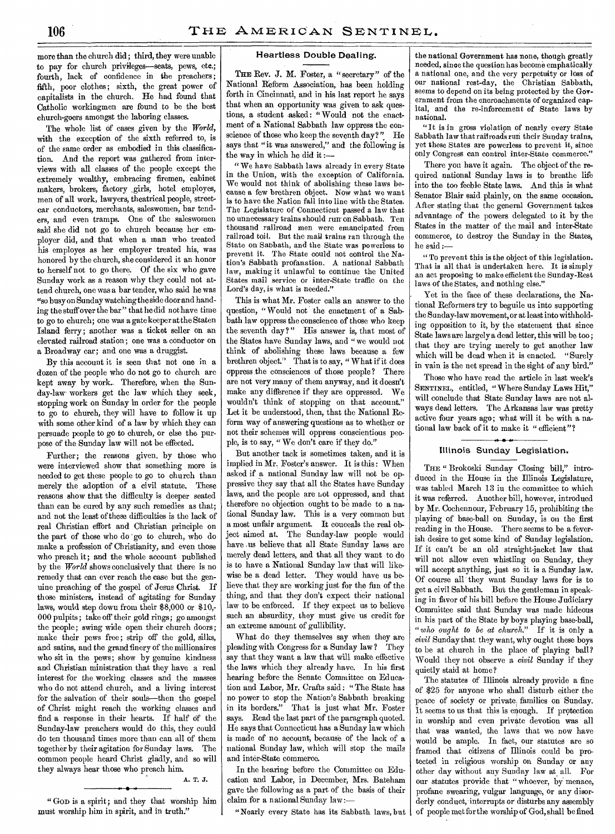more than the church did ; third, they were unable to pay for church privileges—seats, pews, etc.; fourth, lack of confidence in the preachers; fifth, poor clothes; sixth, the great power of capitalists in the church. He had found that Catholic workingmen are found to be the best church-goers amongst the laboring classes.

The whole list of cases given by the *World,*  with the exception of the sixth referred to, is of the same order as embodied in this classification. And the report was gathered from interviews with all classes of the people except the extremely wealthy, embracing firemen, cabinet makers, brokers, factory girls, hotel employes, men of all work, lawyers, theatrical people, streetcar conductors, merchants, saleswomen, bar tenders, and even tramps. One of the saleswomen said she did not go to church because her employer did, and that when a man who treated his employes as her employer treated his, was honored by the church, she considered it an honor to herself not to go there. Of the six who gave Sunday work as a reason why they could not attend church, one was a bar tender, who said he was "so busy on Sunday watching the side door and handing the stuff over the bar" that he did not have time to go to church; one was a gatekeeper at the Staten Island ferry; another was a ticket seller on an elevated railroad station; one was a conductor on a Broadway car; and one was a druggist.

By this account it is seen that not one in a dozen of the people who do not go to church are kept away by work. Therefore, when the Sunday-law workers get the law which they seek, stopping work on Sunday in order for the people to go to church, they will have to follow it up with some other kind of a law by which they can persuade people to go to church, or else the purpose of the Sunday law will not be effected.

Further; the reasons given, by those who were interviewed show that something more is needed to get these people to go to church than merely the adoption of a civil statute. These reasons show that the difficulty is deeper seated than can be cured by any such remedies as that; and not the least of these difficulties is the lack of real Christian effort and Christian principle on the part of those who do go to church, who do make a profession of Christianity, and even those who preach it; and the whole account published by the *World* shows conclusively that there is no remedy that can ever reach the case but the genuine preaching of the gospel of Jesus Christ. If those ministers, instead of agitating for Sunday laws, would step down from their \$8,000 or \$10,- 000 pulpits; take off their gold rings; go amongst the people; swing wide open their church doors; make their pews free; strip off the gold, silks, and satins, and the grand finery of the millionaires who sit in the pews; show by genuine kindness and Christian ministration that they have a real interest for the working classes and the masses who do not attend church, and a living interest for the salvation of their souls—then the gospel of Christ might reach the working classes and find a response in their hearts. If half of the Sunday-law preachers would do this, they could do ten thousand times more than can all of them together by their agitation for Sunday laws. The common people heard Christ gladly, and so will they always hear those who preach him.

### A. T. J.

"GOD is a spirit; and they that worship him must worship him in spirit, and in truth."

#### Heartless Double Dealing.

THE Rev. J. M. Foster, a "secretary" of the National Reform Association, has been holding forth in Cincinnati, and in his last report he says that when an opportunity was given to ask questions, a student asked: "Would not the enactment of a National Sabbath law oppress the conscience of those who keep the seventh day?" He says that "it was answered," and the following is the way in which he did it :—

" We have Sabbath laws already in every State in the Union, with the exception of California. We would not think of abolishing these laws because a few brethren object. Now what we want is to have the Nation fall into line with the States. The Legislature of Connecticut passed a law that no unnecessary trains should run• on Sabbath. Ten thousand railroad men were emancipated from railroad toil. But the mail trains ran through the State on Sabbath, and the State was powerless to prevent it. The State could not control the Nation's Sabbath profanation. A national Sabbath law, making it unlawful to continue the United States mail service or inter-State traffic on the Lord's day, is what is needed."

This is what Mr. Foster calls an answer to the question, "Would not the enactment of a Sabbath law oppress the conscience of those who keep the seventh day?" His answer is, that most of the States have Sunday laws, and "we would not think of abolishing these laws because a few brethren object." That is to say, "What if it does oppress the consciences of those people? There are not very many of them anyway, and it doesn't make any difference if they are oppressed. We wouldn't think of stopping on that account." Let it be understood, then, that the National Reform way of answering questions as to whether or not their schemes will oppress conscientious people, is to say, " We don't care if they do."

But another tack is sometimes taken, and it is implied in Mr. Foster's answer. It is this : When asked if a national Sunday law will not be oppressive they say that all the States have Sunday laws, and the people are not oppressed, and that therefore no objection ought to be made to a national Sunday law. This is a very common but a most unfair argument. It conceals the real object aimed at. The Sunday-law people would have us believe that all State Sunday laws are merely dead letters, and that all they want to do is to have a National Sunday law that will likewise be a dead letter. They would have us believe that they are working just for the fun of the thing, and that they don't expect their national law to be enforced. If they expect us to believe such an absurdity, they must give us credit for an extreme amount of gullibility.

What do they themselves say when they are pleading with Congress for a Sunday law ? They say that they want a law that will make effective the laws which they already have. In his first hearing before the Senate Committee on Education and Labor, Mr. Crafts said : " The State has no power to stop the Nation's Sabbath breaking in its borders." That is just what Mr. Foster *says.* Read the last part of the paragraph quoted. He says that Connecticut has a Sunday law which is made of no account, because of the lack of a national Sunday law, which will stop the mails and inter-State commerce.

In the hearing before the Committee on Education and Labor, in December, Mrs. Bateham gave the following as a part of the basis of their claim for a national Sunday law:—

"Nearly every State has its Sabbath laws, but

the national Government has none, though greatly needed, since the question has become emphatically a national one, and the very perpetuity or loss of our national rest-day, the Christian Sabbath, seems to depend on its being protected by the Government from the encroachments of organized capital, and the re-inforcement of State laws by national.

"It is in gross violation of nearly every State Sabbath law that railroad's run their Sunday trains, yet these States are powerless to prevent it, since only Congress can control inter-State commerce."

There you have it again. The object of the required national Sunday laws is to breathe life into the too feeble State laws. And this is what Senator Blair said plainly, on the same occasion. After stating that the general Government takes advantage of the powers delegated to it by the States in the matter of the mail and inter-State commerce, to destroy the Sunday in the States, he said :—

" To prevent this is the object of this legislation. That is all that is undertaken here. It is simply an act proposing to make efficient the Sunday-Rest laws of the States, and nothing else."

. Yet in the face of these declarations, the National Reformers try to beguile us into supporting the Sunday-law movement, or at least into withholding opposition to it, by the statement that since State laws are largely a dead letter, this will be too ; that they are trying merely to get another law which will be dead when it is enacted. "Surely in vain is the net spread in the sight of any bird."

Those who have read the article in last week's SENTINEL, entitled, " Where Sunday Laws Hit," will conclude that State Sunday laws are not always dead letters. The Arkansas law was pretty active four years ago; what will it be with a national law back of it to make it " efficient"?

#### Illinois Sunday Legislation.

THE " Brokoski Sunday Closing bill," introduced in the House in the Illinois Legislature, was tabled March 13 in the committee to which it was referred. Another bill, however, introducd by Mr. Cochennour, February 15, prohibiting the playing of base-ball on Sunday, is on the first reading in the House. There seems to be a feverish desire to get some kind of Sunday legislation. If it can't be an old straight-jacket law that will not allow even whistling on Sunday, they will accept anything, just so it is a Sunday law. Of course all they want Sunday laws for is to get a civil Sabbath. But the gentleman in speaking in favor of his bill before the House Judiciary Committee said that Sunday was made hideous in his part of the State by boys playing base-ball, *"who ought to be at church."* If it is only a *civil* Sunday that they want, why ought these boys to be at church in the place of playing ball? Would they not observe a *civil* Sunday if they quietly staid at home?

The statutes of Illinois already provide a fine of \$25 for anyone who shall disturb either the peace of society or private, families on Sunday. It seems to us that this is enough. If protection in worship and even private devotion was all that was wanted, the laws that we now have would be ample. In fact, our statutes are so framed that citizens of Illinois could be protected in religious worship on Sunday or any other day without any Sunday law at all. For our statutes provide that "whoever, by menace, profane swearing, vulgar language, or any disorderly conduct, interrupts or disturbs any assembly of people met for the worship of God, shall be fined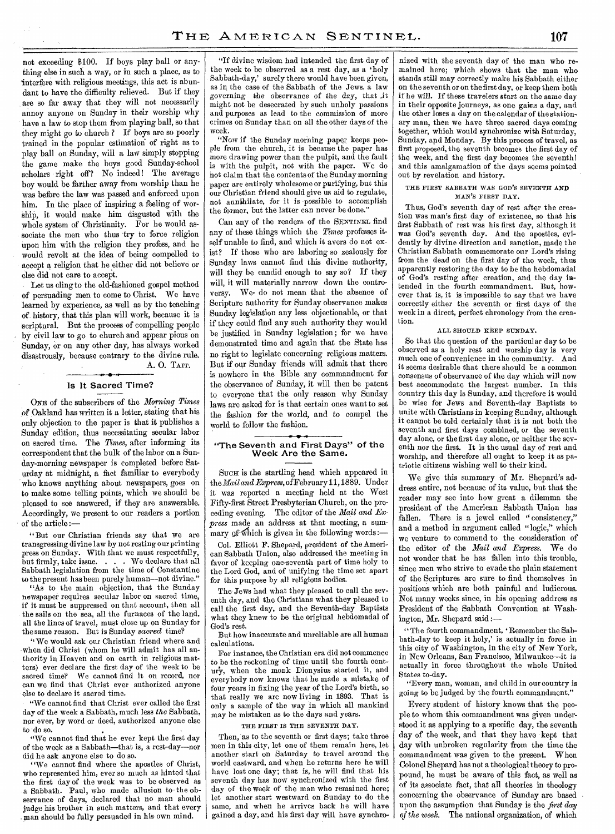not exceeding \$100. If boys play ball or anything else in such a way, or in such a place, as to 'interfere with religious meetings, this act is abundant to have the difficulty relieved. But if they are so far away that they will not necessarily annoy anyone on Sunday in their worship why have a law to stop them from playing ball, so that they might go to church ? If boys are so poorly trained in the popular estimation of right as to play ball on Sunday, will a law simply stopping the game make the boys good Sunday-school scholars right off? No indeed! The average boy would be farther away from worship than he was before the law was passed and enforced upon him. In the place of inspiring a feeling of worship, it would make him disgusted with the whole system of Christianity. For he would associate the men who thus 'try to force religion upon him with the religion they profess, and he would revolt at the idea of being compelled to accept a religion that he either did not believe or else did not care to accept.

Let us cling to the old-fashioned gospel method of persuading men to come to Christ. We have learned by experience, as well as by the teaching of history, that this plan will work, because it is scriptural. But the process of compelling people by civil law to go to church and appear pious on Sunday, or on any other day, has always worked disastrously, because contrary to the divine rule. A. 0. TAIT.

#### Is It Sacred Time?

ONE of the subscribers of the *Morning Times of* Oakland has written it a letter, stating that his only objection to the paper is that it publishes a Sunday edition, thus necessitating secular labor on sacred time. The *Times,* after informing its correspondent that the bulk of the labor on a Sunday-morning newspaper is completed before Saturday at midnight, a fact familiar to everybody who knows anything about newspapers, goes on to make some telling points, which we should be pleased to see answered, if they are answerable. Accordingly, we present to our readers a portion of the article

But our Christian friends say that we are transgressing divine law by not resting our printing press on Sunday. With that we must respectfully, but firmly, take issue. . . . We declare that all Sabbath legislation from the time of Constantine to the present has been purely human—not divine."

"As to the main objection, that the Sunday newspaper requires secular labor on sacred time, if it must be suppressed on that account, then all the sails on the sea, all the furnaces of the land, all the lines of travel, must close up on Sunday for the same reason. But is Sunday *sacred* time?

"We would ask our Christian friend where and when did Christ (whom he will admit has all authority in Heaven and on earth in religious matters) ever declare the first day of the week to be sacred time? We cannot find it on record, nor can we find that Christ ever authorized anyone else to declare it sacred time.

"We cannot find that Christ ever called the first day of the week a Sabbath, much less *the* Sabbath, nor ever, by word or deed, authorized anyone else to do so.

"We cannot find that he ever kept the first day of the week as a Sabbath—that is, a rest-day—nor did he ask anyone else to do so.

"We cannot find where the apostles of Christ, who represented him, ever so much as hinted that the first day of the week was to be observed as a Sabbath. Paul, who made allusion to the observance of days, declared that no man should judge, his brother in such matters, and that every man should bo fully persuaded in his own mind.

"If divine wisdom had intended the first day of the week to be observed as a rest day, as a 'holy Sabbath-day,' surely there would have been given, as in the case of the Sabbath of the Jews, a law governing the observance *of* the day, that ,it might not be desecrated by such unholy passions and purposes as lead to the commission of more crimes on Sunday than on all the other days of the week.

"Now if the Sunday morning paper keeps people from the church, it is because the paper has more drawing power than the pulpit, and the fault is with the pulpit, not with the paper. We do not claim that the contents of the Sunday morning paper are entirely wholesome or purifying, but this our Christian friend should give us aid to regulate, not annihilate, *for* it is possible to accomplish the former, but the latter can never be done.'

Can any of the readers of the SENTINEL find any of these things which the *Times* professes itself unable to find, and which it avers do not exist? If those who are laboring so zealously for Sunday laws cannot find this divine authority, will they be candid enough to say so? If they will, it will materially narrow down the controversy. We- do not mean that the absence of Scripture authority for Sunday observance makes Sunday legislation any less objectionable, or that if they could find any such authority they would be justified in Sunday legislation; for we have demonstrated time and again that the State has no right to legislate concerning religious matters. But if our Sunday friends will admit that there is nowhere in the Bible any commandment for the observance of Sunday, it will then be patent to everyone that the only reason why Sunday laws are asked for is that certain ones want to set the fashion for the world, and to compel the world to follow the fashion.

#### "The Seventh and First Days" of the Week Are the Same.

SUCH is the startling head which appeared in the *Mail and Express,* of February 11,1889. Under it was reported a meeting held at the West Fifty-first Street Presbyterian Church, on the preceding evening. The editor of the *Mail and Express* made an address at that meeting, a summary of which is given in the following words:

Col. Elliott F. Shepard, president of the American Sabbath Union, also addressed the meeting in favor of keeping one-seventh part of time holy to the Lord God, and of unifying the time set apart for this purpose by all religious bodies.

The Jews had what they pleased to call the seventh day, and the Christians what they pleased to call the first day, and the Seventh-day Baptists what they knew to be the original hebdomadal of God's rest.

But how inaccurate and unreliable are all human calculations.

For instance, the Christian era did not commence to be the reckoning of time until the fourth century, when the monk Dionysius started it, and everybody now knows that he made a mistake of four years in fixing the year of the Lord's birth, so that really we are now living in 1893. That is only a sample of the way in which all mankind may be mistaken as to the days and years.

#### THE FIRST IS THE SEVENTH DAY.

Then, as to the seventh or first days; take three men in this city, let one of them remain here, let another start on Saturday to travel around the world eastward, and when he returns here he will have lost one day; that is, he will find that his seventh day has now synchronized with the first day of the week of the man who remained here; let another start westward on Sunday to do the same, and when he arrives back he will have gained a day, and his first day will have synchronized with the seventh day of the man who remained here; which shows that the man who stands still may correctly make his Sabbath either on the seventh or on the first day, or keep them both if he will. If these travelers start on the *same* day in their opposite journeys, as one gains a day, and the other loses a day on the calendar of the stationary man, then we have three sacred days coming together, which would synchronize with Saturday, Sunday, and Monday. By this process of travel, as first proposed, the seventh becomes the first day of the week, and the first day becomes the seventh! and this amalgamation of the days seems pointed out by revelation and history.

#### THE FIRST SABBATH WAS GOD'S SEVENTH AND MAN'S FIRST DAY.

Thus, God's seventh day of rest after the creation was man's first day of existence, so that his first Sabbath of rest was his first day, although it was God's seventh day. And the apostles, evidently by divine direction and sanction, made the Christian Sabbath commemorate our Lord's rising from the dead on the first day of the week, thus apparently restoring the day to be the hebdomadal of God's resting after creation, and the day intended in the fourth commandment. But, however that is, it is impossible to say that we have correctly either the seventh or first days of the week in a direct, perfect chronology from the creation.

#### ALL SHOULD KEEP SUNDAY.

So that the question of the particular day to be observed as a holy rest and worship day is very much one of convenience in the community. And it seems desirable that there should be a common consensus of observance of the day which will now best accommodate the largest number. In this country this day is Sunday, and therefore it would be wise for Jews and Seventh-day Baptists to unite with Christians in keeping Sunday, although it cannot be told certainly that it is not both the seventh and first days combined, or the seventh day alone, or the first day alone, or neither the seventh nor the first. It is the usual day of rest and worship, and therefore all ought to keep it as patriotic citizens wishing well to their kind.

We give this summary of Mr. Shepard's address entire, not because of its value, but that the reader may see into how great a dilemma the president of the American Sabbath Union has fallen. There is a jewel called "consistency," and a method in argument called "logic," which we venture to commend to the consideration of the editor of the *Mail and Express.* We do not wonder that he has fallen into this trouble, since men who strive to evade the plain statement of the Scriptures are sure to find themselves in positions which are both painful and ludicrous. Not many weeks since, in his opening address as President of the Sabbath Convention at Washington, Mr. Shepard said :—

"The fourth commandment, 'Remember the Sabbath-day to keep it holy,' is actually in force in this city of Washington, in the city of New York, in New Orleans, San Francisco, Milwaukee—it is actually in force throughout the whole United States to-day.

"Every man, woman, and child in our country is going to be judged by the fourth commandment."

Every student of history knows that the people to whom this commandment was given understood it as applying to a specific day, the seventh day of the week, and that they have kept that day with unbroken regularity from the time the commandment was given to the present. When Colonel Shepard has not a theological theory to propound, he must be aware of this fact, as well as of its associate fact, that all theories in theology concerning the observance of Sunday are based upon the assumption that Sunday is the *first day of the week.* The national organization, of which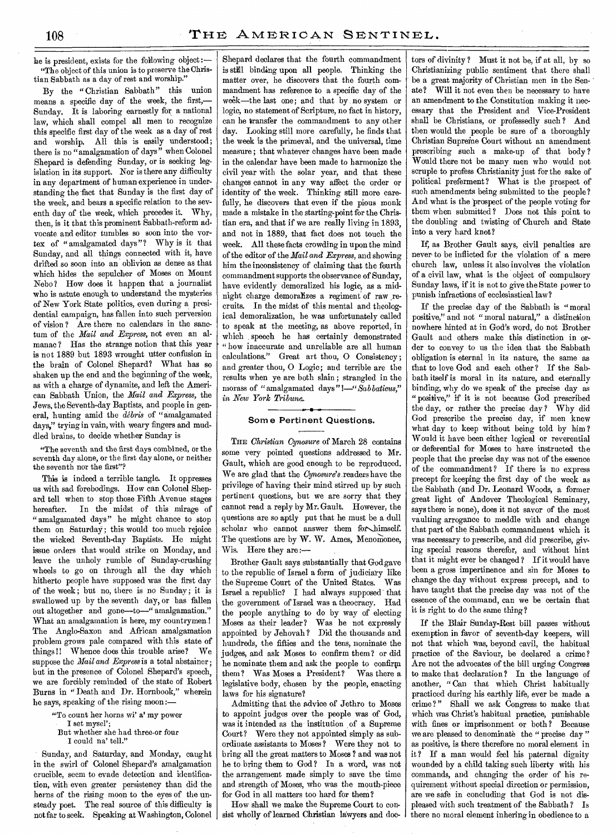he is president, exists for the following object:— "The object of this union is to preserve the Christian Sabbath as a day of rest and worship."

By the " Christian Sabbath" this union means a specific day of the week, the first,— Sunday. It is laboring earnestly for a national law, which shall compel all men to recognize this specific first day of the week as a day of rest and worship. All this is easily understood; there is no "amalgamation of days" when Colonel Shepard is defending Sunday, or is seeking legislation in its support. Nor is there any difficulty in any department of human experience in understanding the fact that Sunday is the first day of the week, and bears a specific relation to the seventh day of the week, which precedes it. Why, then, is it that this prominent Sabbath-reform advocate and editor tumbles so soon into the vortex of "amalgamated days"? Why is it that Sunday, and all things connected with it, have drifted so soon into an oblivion as dense as that which hides the sepulcher of Moses on Mount Nebo? How does it happen that a journalist who is astute enough to understand the mysteries of New York State politics, even during a presidential campaign, has fallen into such perversion of vision ? Are there no calendars in the sanctum of the *Mail and Express,* not even an almanac? Has the strange notion that this year is not 1889 but 1893 wrought utter confusion in the brain of Colonel Shepard? What has so shaken up the end and the beginning of the week, as with a charge of dynamite, and left the American Sabbath Union, the *Mail and Express,* the Jews, the Seventh-day Baptists, and people in general, hunting amid the *debris* of "amalgamated days," trying in vain, with weary fingers and muddled brains, to decide whether Sunday is

"The seventh and the first days combined, or the seventh day alone, or the first day alone, or neither the seventh nor the first"?

This is indeed a terrible tangle. It oppresses us with sad forebodings. How can Colonel Shepard tell when to stop those Fifth Avenue stages hereafter. In the midst of this mirage of "amalgamated days" he might chance to stop them on Saturday; this would too much rejoice the wicked Seventh-day Baptists. He might issue orders that would strike on Monday, and leave the unholy rumble of Sunday-crushing wheels to go on through all the day which hitherto people have supposed was the first day of the week; but no, there is no Sunday; it is swallowed up by the seventh day, or has fallen out altogether and gone—to—" amalgamation." What an amalgamation is here, my countrymen.! The Anglo-Saxon and African amalgamation problem grows pale compared with this state of things !! Whence does this trouble arise? We suppose the *Mail and Express* is a total abstainer; but in the presence of Colonel Shepard's speech, we are forcibly reminded of the state of Robert Burns in "Death and Dr. Hornbook," wherein he says, speaking of the rising moon:—

"To count her horns wi' a' my power

I set mysel';

But whether she had three-or four

I could na' tell."

Sunday, and Saturday, and Monday, caught in the swirl of Colonel Shepard's amalgamation crucible, seem to evade detection and identification, with even greater persistency than did the horns of the rising moon to the eyes of the unsteady poet. The real source of this difficulty is not far to seek. Speaking at Washington, Colonel

Shepard declares that the fourth commandment is still binding upon all people. Thinking the matter over, he discovers that the fourth commandment has reference to a specific day of the week—the last one; and that by no system or logic, no statement of Scripture, no fact in history, can he transfer the commandment to any other day. Looking still more carefully, he finds that the week is the primeval, and the universal, time measure ; that whatever changes have been made in the calendar have been made to harmonize the civil year with the solar year, and that these changes cannot in any way affect the order or identity of the week. Thinking still more carefully, he discovers that even if the pious monk made a mistake in the starting-point for the Christian era, and that if we are really living in 1893, and not in 1889, that fact does not touch the week. All these facts crowding in upon the mind of the editor of the *Mail and Express,* and showing him the inconsistency of claiming that the fourth commandment supports the observance of Sunday, have evidently demoralized his logic, as a midnight charge demoralizes a regiment of raw recruits. In the midst of this mental and theological demoralization, he was unfortunately called to speak at the meeting, as above reported, in which speech he has certainly demonstrated " how inaccurate and unreliable are all human calculations." Great art thou, 0 Consistency; and greater thou, 0 Logic; and terrible are the results when ye are both slain ; strangled in the morass of "amalgamated days *"!—"Sabbatieus," in New York Tribune.\_* 

### Some Pertinent Questions.

THE *Christian Cynosure* of March 28 contains some very pointed questions addressed to Mr. Gault, which are good enough to be reproduced. We are glad that the *Cynosure's* readers have the privilege of having their mind stirred up by such pertinent questions, but we are sorry that they cannot read a reply by Mr. Gault. However, the questions are so aptly put that he must be a dull scholar who cannot answer them for himself. The questions are by W. W. Ames, Menomonee, Wis. Here they are :—

Brother Gault says substantially that God gave to the republic of Israel a form of judiciary like the Supreme Court of the United States. Israel a republic? I had always supposed that the government of Israel was a theocracy. Had the people anything to do by way of electing Moses as their leader? Was he not expressly appointed by Jehovah? Did the thousands and hundreds, the fifties and the tens, nominate the judges, and ask Moses to confirm them? or did he nominate them and ask the people to confirm them? Was Moses a President? Was there a legislative body, chosen by the people, enacting laws for his signature?

Admitting that the advice of Jethro to Moses to appoint judges over the people was of God, was it intended as the institution of a Supreme Court? Were they not appointed simply as subordinate assistants to Moses? Were they not to bring all the great matters to Moses ? and was not he to bring them to God ? In a word, was not the arrangement made simply to save the time and strength of Moses, who was the mouth-piece for God in all matters too hard for them?

How shall we make the Supreme Court to consist wholly of learned Christian lawyers and doetors of divinity ? Must it not be, if at all, by so Christianizing public sentiment that there shall be a great majority of Christian men in the Senate? Will it not even then be necessary to have an amendment to the Constitution making it necessary that the President and Vice-President shall be Christians, or professedly such ? And then would the people be sure of a thoroughly Christian Supreme Court without an amendment prescribing such a make-up of that body ? Would there not be many men who would not scruple to profess Christianity just for the sake of political preferment? What is the prospect of such amendments being submitted to the people? And what is the prospect of the people voting for them when submitted ? Does not this point to the doubling and twisting of Church and State into a very hard knot?

If, as Brother Gault says, civil penalties are never to be inflicted for the violation of a mere church law, unless it also involves the violation of a civil law, what is the object of compulsory Sunday laws, if it is not to give the State power to punish infractions of ecclesiastical law?

If the precise day of the Sabbath is "moral positive," and not " moral natural," a distinction nowhere hinted at in God's word, do not Brother Gault and others make this distinction in order to convey to us the idea that the Sabbath obligation is eternal in its nature, the same as that to love God and each other ? If the Sabbath itself is moral in its nature, and eternally binding, why do we speak of the precise day as "positive," if it is not because God prescribed the day, or rather the precise day? Why did God prescribe the precise day, if men knew what day to keep without being told by him ? Would it have been either logical or reverential or deferential for Moses to have instructed the people that the precise day was not of the essence of the commandment? If there is no express precept for keeping the first day of the week as the Sabbath (and Dr. Leonard Woods, a former great light of Andover Theological Seminary, says there is none), does it not savor of the most vaulting arrogance to meddle with and change that part of the Sabbath commandment which it was necessary to prescribe, and did prescribe, giving special reasons therefor, and without hint that it might ever be changed ? If it would have been a gross impertinence and sin for Moses to change the day without express precept, and to have taught that the precise day was not of the essence of the command, can we be certain that it is right to do the same thing?

If the Blair Sunday-Rest bill passes without exemption in favor of seventh-day keepers, will not that which was, beyond cavil, the habitual practice of the Saviour, be declared a crime? Are not the advocates of the bill urging Congress to make that declaration ? In the language of another, " Can that which Christ habitually practiced during his earthly life, ever be made a crime ? " Shall we ask Congress to make that which was Christ's habitual practice, punishable with fines or imprisonment or both ? Because we are pleased to denominate the " precise day " as positive, is there therefore no moral element in it? If a man would feel his paternal dignity wounded by a child taking such liberty with his commands, and changing the order of his requirement without special direction or permission, are we safe in concluding that God is not displeased with such treatment of the Sabbath ? Is there no moral element inhering in obedience to a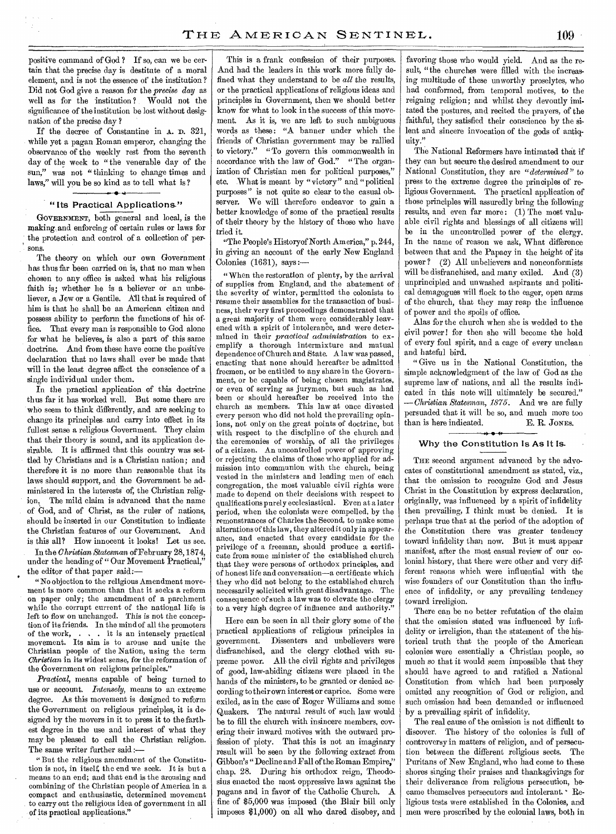positive command of God ? If so, can we be certain that the precise day is destitute of a moral element, and is not the essence of the institution ? Did not God give a reason for the *precise day* as well as for the institution ? Would not the significance of the institution be lost without designation of the precise day ?

If the decree of Constantine in A. D. 321, while yet a pagan Roman emperor, changing the observance of the weekly rest from the seventh day of the week to "the venerable day of the sun," was not "thinking to change times and laws," will you be so kind as to tell what is ?

#### " Its Practical Applications."

GOVERNMENT, both general and local, is the making, and enforcing of certain rules or laws for the protection and control of a collection of persons.

The theory on which our own Government has thus far been carried on is, that no man when chosen to any office is asked what his religious faith is; whether he is a believer or an unbeliever, a Jew or a Gentile. All that is required of him is that he shall be an American citizen and possess ability to perform the functions of his office. That every man is responsible to God alone for what he believes, is also a part of this same doctrine. And from these have come the positive declaration that no laws shall ever be made that will in the least degree affect the conscience of a single individual under them.

In the practical application of this doctrine thus far it has worked well. But some there are who seem to think differently, and are seeking to change its principles and carry into effect in its fullest sense a religious Government. They claim that their theory is sound, and its application desirable. It is affirmed that this country was settled by Christians and is a Christian nation; and therefore it is no more than reasonable that its laws should support, and the Government be administered in the interests of, the Christian religion. The mild claim is advanced that the name of God, and of Christ, as the ruler of nations, should be inserted in our Constitution to indicate the Christian features of our Government. And is this all? How innocent it looks! Let us see.

In the *Christian Statesman* of February 28, 1874, under the heading of " Our Movement Practical," the editor of that paper said:—

" No objection to the religious Amendment movement is more common than that it seeks a reform on paper only; the amendment of a parchment while the corrupt current of the national life is left to flow on unchanged. This is not the conception of its friends. In the mind of all the promoters of the work, . . it is an intensely practical movement. Its aim is to arouse and unite the Christian people of the Nation, using the term *Christian* in its widest sense, for the reformation of the Government on religious principles."

*Practical,* means capable of being turned to use or account. *Intensely,* means to an extreme degree. As this movement is designed to reform the Government on religious principles, it is designed by the movers in it to press it to the farthest degree in the use and interest of what they may be pleased to call the Christian religion. The same writer further said :-

" But the religious amendment of the Constitution is not, in itself, the end we seek. It is but a means to an end; and that end is the arousing and combining of the Christian people of America in a compact and enthusiastic, determined movement to carry out the religious idea of government in all of its practical applications."

This is a frank confession of their purposes. And had the leaders in this work more fully defined what they understand to be *all* the results, or the practical applications of religious ideas and principles in Government, then we should better know for what to look in the success of this movement. As it is, we are left to such ambiguous words as these: "A banner under which the friends of Christian government may be rallied to victory." "To govern this commonwealth in accordance with the law of God." "The organization of Christian men for political purposes," etc. What is meant by "victory" and "political purposes" is not quite so clear to the casual observer. We will therefore endeavor to gain a better knowledge of some of the practical results of their theory by the history of those who have tried it.

"The People's Historyof North America," p. 244, in giving an account of the early New England Colonies  $(1631)$ , says :-

" When the restoration of plenty, by the arrival of supplies from England, and the abatement of the severity of winter, permitted the colonists to resume their assemblies for the transaction of business, their very first proceedings demonstrated that a great majority of them were considerably leavened with a spirit of intolerance, and were determined in their *practical administration* to exemplify a thorough intermixture and mutual dependence of Church and State. A law was passed, enacting that none should hereafter be admitted freemen, or be entitled to any share in the Government, or be capable of being chosen magistrates, or even of serving as jurymen, but such as had been or should hereafter be received into the church as members. This law at once divested every person who did not hold the prevailing opinions, not only on the great points of doctrine, but with respect to the discipline of the church and the ceremonies of worship, of all the privileges of a citizen. An uncontrolled power of approving or rejecting the claims of those who applied for admission into communion with the church, being vested in the ministers and leading men of each congregation, the most valuable civil rights were made to depend on their decisions with respect to qualifications purely ecclesiastical. Even at a later period, when the colonists were compelled, by the remonstrances of Charles the Second, to make some alterations of this law, they altered it only in appearance, and enacted that every candidate for the privilege of a freeman, should produce a certificate from some minister of the established church that they were persons of orthodox principles, and of honest life and conversation—a certificate which they who did not belong to the established church necessarily solicited with great disadvantage. The consequence of such a law was to elevate the clergy to a very high degree of influence and authority."

Here can be seen in all their glory some of the practical applications of religious principles in government. Dissenters and unbelievers were disfranchised, and the clergy clothed with supreme power. All the civil rights and privileges of good, law-abiding citizens were placed in the hands of the ministers, to be granted or denied according to their own interest or caprice. Some were exiled, as in the case of Roger Williams and some Quakers. The natural result of such law would be to fill the church with insincere members, covering their inward motives with the outward profession of piety. That this is not an imaginary result will be seen by the following extract from Gibbon's " Decline and Fall of the Roman Empire," chap. 28. During his orthodox reign, Theodosius enacted the most oppressive laws against the pagans and in favor of the Catholic Church. A fine of \$5,000 was imposed (the Blair bill only imposes \$1,000) on all who dared disobey, and

favoring those who would yield. And as the result, "the churches were filled with the increasing multitude of these unworthy proselytes, who had conformed, from temporal motives, to the reigning religion; and whilst they devoutly imitated the postures, and recited the prayers, of the faithful, they satisfied their conscience by the silent and sincere invocation of the gods of antiquity."

The National Reformers have intimated that if they can but secure the desired amendment to our National Constitution, they are *"determined"* to press to the extreme degree the principles of religious Government. The practical application of those principles will assuredly bring the following results, and even far more: (1) The most valuable civil rights and blessings of all citizens will be in the uncontrolled power of the clergy. In the name of reason we ask, What difference between that and the Papacy in the height of its power ? (2) All unbelievers and nonconformists will be disfranchised, and many exiled. And (3) unprincipled and unwashed aspirants and political demagogues will flock to the eager, open arms of the church, that they may reap the influence of power and the spoils of office.

Alas for the church when she is wedded to the civil power ! for then she will become the hold of every foul spirit, and a cage of every unclean and hateful bird.

"Give us in the National Constitution, the simple acknowledgment of the law of God as the supreme law of nations, and all the results indicated in this note will ultimately be secured." *—Christian Statesman, 1875.* And we are fully persuaded that it will be so, and much more too than is here indicated. E. R. JONES.

#### Why the Constitution Is As It Is.

THE second argument advanced by the advocates of constitutional amendment as stated, viz., that the omission to recognize God and Jesus Christ in the Constitution by express declaration, originally, was influenced by a spirit of infidelity then prevailing, I think must be denied. It is perhaps true that at the period of the adoption of the Constitution there was greater tendency toward infidelity than now. But it must appear manifest, after the most casual review of our colonial history, that there were other and very different reasons which were influential with the wise founders of our Constitution than the influence of infidelity, or any prevailing tendency toward irreligion.

There can be no better refutation of the claim that the omission stated was influenced by infidelity or irreligion, than the statement of the historical truth that the people of the American colonies were essentially a Christian people, so much so that it would seem impossible that they should have agreed to and ratified a National Constitution from which had been purposely omitted any recognition of God or religion, and such omission had been demanded or influenced by a prevailing spirit of infidelity.

The real cause of the omission is not difficult to discover. The history of the colonies is full of controversy in matters of religion, and of persecution between the different religious sects. The Puritans of New England, who had come to these shores singing their praises and thanksgivings for their deliverance from religious persecution, became themselves persecutors and intolerant. Religious tests were established in the Colonies, and men were proscribed by the colonial laws, both in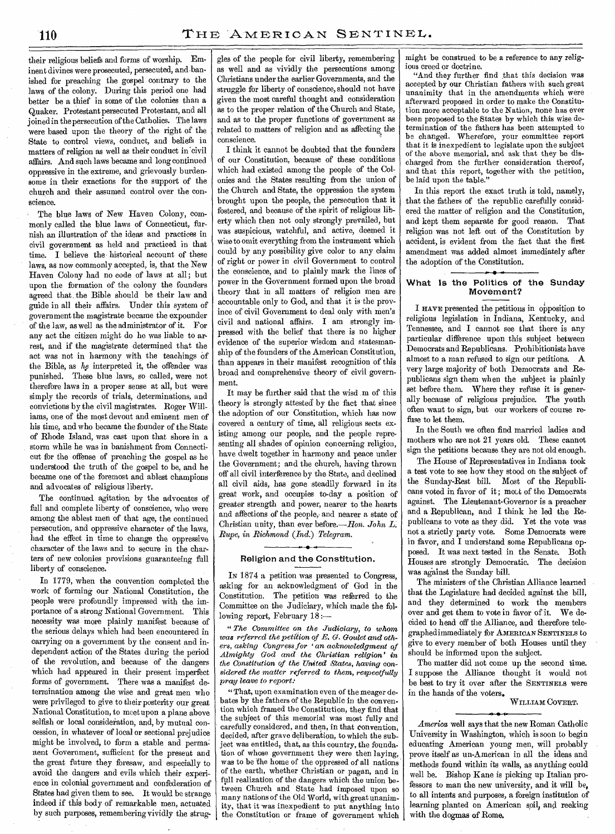their religious beliefs and forms of worship. Eminent divines were prosecuted, persecuted, and banished for preaching the gospel contrary to the laws of the colony. During this period one had better be a thief in some of the colonies than a Quaker. Protestant persecuted Protestant, and all joined in the persecution of the Catholics. The laws were based upon the theory of the right of the State to control views, conduct, and beliefs in matters of religion as well as their conduct in'civil affairs. And such laws became and long continued oppressive in the extreme, and grievously burdensome in their exactions for the support of the church and their assumed control over the conscience.

The blue laws of New Haven Colony, commonly called the blue laws of Connecticut, furnish an illustration of the ideas and practices in civil government as held and practiced in that time. I believe the historical account of these laws, as now commonly accepted, is, that the New Haven Colony had no code of laws at all; but upon the formation of the colony the founders agreed that the Bible should be their law and guide in all their affairs. Under this system of government the magistrate became the expounder of the law, as well as the administrator of it. For any act the citizen might do he was liable to arrest, and if the magistrate determined that the act was not in harmony with the teachings of the Bible, as *he* interpreted it, the offender was punished. These blue laws, so called, were not therefore laws in a proper sense at all, but were simply the records of trials, determinations, and convictions by the civil magistrates. Roger Williams, one of the most devout and eminent men of his time, and who became the founder of the State of Rhode Island, was cast upon that shore in a storm while he was in banishment from Connecticut for the offense of preaching the gospel as he understood the truth of the gospel to be, and he became one of the foremost and ablest champions and advocates of religious liberty.

The continued agitation by the advocates of full and complete liberty of conscience, who were among the ablest men of that age, the continued persecution, and oppressive character of the laws, had the effect in time to change the oppressive character of the laws and to secure in the charters of new colonies provisions guaranteeing full liberty of conscience.

In 1779, when the convention completed the work of forming our National Constitution, the people were profoundly impressed with the importance of a strong National Government. This necessity was more plainly manifest because of the serious delays which had been encountered in carrying on a government by the consent and independent action of the States during the period of the revolution, and because of the dangers which had appeared in their present imperfect forms of government. There was a manifest determination among the wise and great men who were privileged to give to their posterity our great National Constitution, to meet upon a plane above selfish or local consideration, and, by mutual concession, in whatever of local or sectional prejudice might be involved, to form a stable and permanent Government, sufficient for the present and the great future they foresaw, and especially to avoid the dangers and evils which their experience in colonial government and confederation of States had given them to see. It would be strange indeed if this body of remarkable men, actuated by such purposes, remembering vividly the strug-

gles of the people for civil liberty, remembering as well and as vividly the persecutions among Christians under the earlier Governments, and the struggle for liberty of conscience, should not have given the most careful thought and consideration as to the proper relation of the Church and State, and as to the proper functions of government as related to matters of religion and as affecting the conscience.

I think it cannot be doubted that the founders of our Constitution, because of these conditions which had existed among the people of the Colonies and the States resulting from the union of the Church and State, the oppression the system brought upon the people, the persecution that it fostered, and because of the spirit of religious liberty which then not only strongly prevailed, but was suspicious, watchful, and active, deemed it wise to omit everything from the instrument which could by any possibility give color to any claim of right or power in civil Government to control the conscience, and to plainly mark the lines of power in the Government formed upon the broad theory that in all matters of religion men are accountable only to God, and that it is the province of civil Government to deal only with men's civil and national affairs. I am strongly impressed with the belief that there is no higher evidence of the superior wisdom and statesmanship of the founders of the American Constitution, than appears in their manifest recognition of this broad and comprehensive theory of civil government.

It may be further said that the wisd .m of this theory is strongly attested by the fact that since the adoption of our Constitution, which has now covered a century of time, all religious sects existing among our people, and the people representing all shades of opinion concerning religion, have dwelt together in harmony and peace under the Government; and the church, having thrown off all civil interference by the State, and declined all civil aids, has gone steadily forward in its great work, and occupies to-day a position of greater strength and power, nearer to the hearts and affections of the people, and nearer a state of Christian unity, than ever before.—Hon. *John L. Rupe, in Richmond (Ind.) Telegram.* 

#### Religion and the Constitution.

IN 1874 a petition was presented to Congress, asking for an acknowledgment of God in the Constitution. The petition was referred to the Committee on the Judiciary, which made the following report, February 18:—

" *The Committee on the Judiciary, to whom was referred the petition of E. G. Goulet and oth* $ers, asking$  Congress for 'an acknowledgment of *Almighty God and the Christian religion' in the Constitution of the United States, having considered the matter referred to them, respectfully pray leave to report:* 

"That, upon examination even of the meager debates by the fathers of the Republic in the convention which framed the Constitution, they find that the subject of this memorial was most fully and carefully considered, and then, in that convention, decided, after grave deliberation, to which the subject was entitled, that, as this country, the foundation of whose government they were then laying, was to be the home of the oppressed of all nations of the earth, whether Christian or pagan, and in full realization of the dangers which the union between Church and State had imposed upon so many nations of the Old World, with great unanimity, that it was inexpedient to put anything into the Constitution or frame of government which

might be construed to be a reference to any religious creed or doctrine.

"And they further find that this decision was accepted by our Christian fathers with such great unanimity that in the amendments which were afterward proposed in order to make the Constitution more acceptable to the Nation, none has ever been proposed to the States by which this wise determination of the fathers has been attempted to be changed. Wherefore, your committee report that it is inexpedient to legislate upon the subject of the above memorial, and ask that they be discharged from the further consideration thereof, and that this report, together with the petition, be laid upon the table."

In this report the exact truth is told, namely, that the fathers of the republic carefully considered the matter of religion and the Constitution, and kept them separate for good reason. That religion was not left out of the Constitution by accident, is evident from the fact that the first amendment was added almost immediately after the adoption of the Constitution.

#### 4.- • .- What Is the Politics of the Sunday Movement?

I HAVE presented the petitions in opposition to religious legislation in Indiana, Kentucky, and Tennessee, and I cannot see that there is any particular difference upon this subject between Democrats and Republicans. Prohibitionists have almost to a man refused to sign our petitions. A very large majority of both Democrats and Republicans sign them when the subject is plainly set before them. Where they refuse it is generally because of religious prejudice. The youth often want to sign, but our workers of course refuse to let them.

In the South we often find married ladies and mothers who are not 21 years old. These cannot sign the petitions because they are not old enough.

The House of Representatives in Indiana took a test vote to see how they stood on the subject of the Sunday-Rest bill. Most of the Republicans voted in favor of it; most of the Democrats against. The Lieutenant-Governor is a preacher and a Republican, and I think he led the Republicans to vote as they did. Yet the vote was not a strictly party vote. Some Democrats were in favor, and I understand some Republicans opposed. It was next tested in the Senate. Both Houses are strongly Democratic. The decision was against the Sunday bill.

The ministers of the Christian Alliance learned that the Legislature had decided against the bill, and they determined to work the members over and get them to vote in favor of it. We decided to head off the Alliance, and therefore telegraphed immediately for AMERICAN SENTINELS to give to every member of both Houses until they should be informed upon the subject.

The matter did not come up the second time. I suppose the Alliance thought it would not be best to try it over after the SENTINELS were in the hands of the voters.

WILLIAM COVERT. **. • <sup>0</sup>**

*America* well says that the new Roman Catholic University in Washington, which is soon to begin educating American young men, will probably prove itself as un-American in all the ideas and methods found within its walls, as anything could well be. Bishop Kane is picking up Italian professors to man the new university, and it will be, to all intents and purposes, a foreign institution of learning planted on American soil, and reeking with the dogmas of Rome.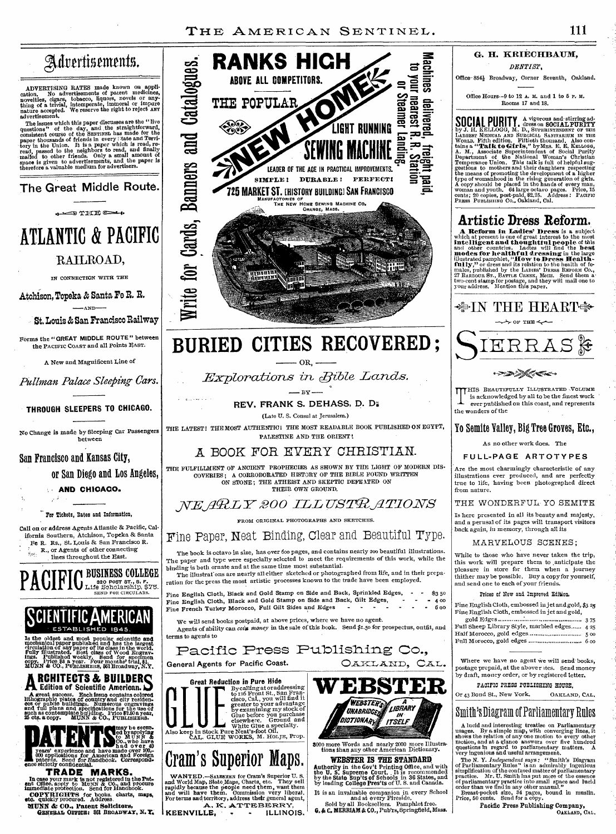# G. IL KRIECHBAUM,

DENTIST,

Office 8541 Broadway, Corner Seventh, Oakland.

Office Hours--9 to 12 A. AL and **1 to 5** P. H. Rooms 17 and 18.

SOCIAL PURITY A vigorous and stirring ad-<br>by J. H. KELLOGG, M. D., SUESS on SOCIAL PURITY<br>LARGEST MEDIAL AND SUEGATION OF THE UNION WAS TRUSTED WORLD. FIFTHER<br>WORLD. FIFTH SUEGATION. FIFTHER WARD MANY THE WORLD. FIFTHER WO **SOCIAL PURITY** 

## **Artistic Dress Reform.**

**A Reform in Ladies' Dress** is a subject<br>which at present is one of great interest to the nost<br>intelligent and thoughtful people of this<br>and other countries. Ladies will find the best<br>modes for healthful dressing in the la



I HIS BEAUTIFULLY ILLUSTRATED VOLUME<br>is acknowledged by all to be the finest work<br>ever published on this coast, and represents HIS BEAUTIFULLY ILLUSTRATED -VOLUME ever published on this coast, and represents

### Yo Semite Valley, Big Tree Groves, Etc.,

As no other work does. The

FULL-PAGE ARTOTYPES

illustrations ever produced, and are perfectly true to life, having been photographed direct from nature.

THE WONDERFUL. YO SEMITE

and a perusal of its pages will transport visitors back *again,* in memory, through all its

#### MARVELOUS SCENES ;

pleasure in store for them when a journey thither may be possible. Buy a copy for yourself,

| Full Sheep Library Style, marbled edges 4 25 |  |
|----------------------------------------------|--|
|                                              |  |
|                                              |  |

postage prepaid, at the abover rtes. Send money by draft, money order, or by registered letter.

### Smith's Diagram of Parliamentary Rules

A lucid and interesting treatise on Parliamentary<br>usages. By a simple map, with converging lines, it<br>shows the relation of any one motion to every other<br>motion, and at a glance answers over five hundred<br>questions in regard

The N. Y. Independent says: "Smith's Diagram<br>of Parliamentary Rules" is an admirably ingenious simplification of the confused matter of parliamentary<br>practice. Mr. U. Smith has put more of the essence<br>of parliamentary pra

OAKLAND, CAL.

# Advertisements.

ADVERTISING RATES made known on application. No advertisements of patent medicines, nowell novelties, cigars, tobacco, liquors, novels or anything of a trivial, intemperate, immoral or impure nature accepted. We reserve th

The issues which this paper discusses are the "live<br>questions" of the day, and the straightforward,<br>consistent course of the SENTINEL has made for the<br>paper thousands of friends in every state and Terri-<br>topy in the Union.

**The Great Middle Route.** 

 $e =$  $T = E$ 

# **ATLANTIC & PACIFIC**  RAILROAD,

IN CONNECTION WITH THE

Atchison, Topeka *&* Santa Fe R. R.  $\longrightarrow$ AND $\rightarrow$ 

St. Louis *&* San Francisco Railway

Forms the "GREAT MIDDLE ROUTE" between the PACIFIC COAST and all Points EAST.

A New and Magnificent Line of

*Pullman Palace Sleeping-Cars.* 

**THROUGH SLEEPERS TO CHICAGO.** 

No Change is made by Sleeping Car Passengers between

San Francisco and Kansas City,

or San Diego and Los Angeles,

**AND CHICAGO.** 

For Tickets, Rates and Information,

Call on or address Agents Atlantic & Pacific, California Southern, Atchison, Topeka & Santa Fe R. Rs., St. Louis & San Francisco R. R., or Agents of other connecting lines throughout the East.

**PACIF IC** BUSINESS COLLEGE Life Eoholarahip, \$75. SEND FOR CIRCULARS.

# SLIENTIFIL AMERICAN

Is the oldest and most popular scientific and<br>mechanical paper published and has the largest<br>cludification of any paper of its class in the world.<br>dreulation of any paper of its class in the world.<br>fully illustrated. Best

A great success. Each issue contains colored<br>
A great success. Each issue contains colored<br>
des or public buildings. Numerous enginvings<br>
and thil plens and specifications for the use of<br>
such as contemplate building. Pric **RCHITECTS & BUILDERC Edition of Scientific American. D** 



**ence strictly confidential.** TRADE MARKS.

In case your mark is not registered in the Pat-<br>ent Office. apply to MUNN & Co., and procure<br>immediate protection. Send for Handbook. **COPYRIGHTS** for books. charts, maps, etc. quickly procured. Address.

**MUNN & CO., Patent Solicitors, OBNIMAI, OZTICE: 361** BROADWAY, *N. Y.*'



# **BURIED CITIES RECOVERED ;**   $\frac{1}{\cos \theta}$

*Explorations in Bible Lands.* 

 $-$  BY  $-$ 

**REV. FRANK S. DEHASS, D. D;** 

(Late U. S. Consul at Jerusalem.)

THE LATEST! THE MOST AUTHENTIC! THE MOST READABLE BOOK PUBLISHED ON EGYPT, PALESTINE AND THE ORIENT!

### A BOOK FOR EVERY CHRISTIAN.

THE FULFILLMENT OF ANCIENT PROPHECIES AS SHOWN BY THE LIGHT OF MODERN DIS-COVERIES ; A CORROBORATED HISTORY OF THE BIBLE FOUND WRITTEN ON STONE; THE ATHEIST AND SKEPTIC DEFEATED ON THEIR OWN GROUND.

## *,IVE,j1WL17-BOO ILLTISTRA'1701VS*

FROM ORIGINAL PHOTOGRAPHS AND SKETCHES.

## Fine Paper, Neat Binding, Clear and Beautiful Type.

The book is octavo in size, has over 600 pages, and contains nearly 200 beautiful illustrations. The paper and type were especially selected to meet the requirements of this work, while the binding is both ornate and at the same time most substantial.

The illustrations are nearly all either sketched or photographed from life, and in their preparation for the press the most artistic processes known to the trade have been employed.

Fine English Cloth, Black and Gold Stamp on Side and Back, Sprinkled Edges, Fine English Cloth, Black and Gold Stamp on Side and Back, Gilt Edges, Fine French Turkey Morocco, Full Gilt Sides and Edges \$3 50  $-400$ 6 00

We will send books postpaid, at above prices, where we have no agent. Agents of ability can *coin money* in the sale of this book. Send \$1.50 for prospectus, outfit, and terms to agents to

Pacific Press Publishing Co., General Agents for Pacific Coast.

Great Reduction in Pure Hide<br>
to rise the discussing<br>
to rise front St., San Francisco<br>
to rise front St., San Francisco<br>
discussing my stock of<br>
the brown pure asseming my stock of<br>
the Glue agrection of the discussion of

Cram's Superior Maps.

WANTED.—Sanzesuen for Cram's Superior U.S.<br>and World Map, State Maps, Charts, etc. They sell<br>rapidly because the people need them, want them<br>and will have them. Commission very liberal.<br>For terms and territory, address the

A. K. ATTEBERRY,<br>**KEENVILLE, · · · ILLINOIS.** 



3000 more Words and nearly 2000 more Illustra-tions than any other American Dictionary.

**WEBSTER IS THE STANDARD**  Authority in **the Gov't** Printing Office, and with the U. S. Supreme Court. It is recommended by the State Supqs **of** Schools in 36 States, and by leading **College Pres'ts** of U. S. and Canada.

It is an invaluable companion in every School<br>and at every Fireside.<br>Sold by all Booksellers. Pamphlet free.<br>G. & C. MERRIAM & CO., Pub'rs, Springfield, Mass.

the wonders of the

Are the most charmingly characteristic of any

Is here presented in all its beauty and majesty,

While to those who have never taken the trip, this work will prepare them to ,anticipate the and send one to each of your friends.

#### Prices of New and Improved Edition.

Fine English Cloth, embossed in jet and gold, \$3 25 Fine English Cloth, embossed in jet and gold,

| Full Sheep Library Style, marbled edges 4 25 |  |
|----------------------------------------------|--|
|                                              |  |
|                                              |  |
|                                              |  |

Where we have no agent we will send books,

PACIFIC PRESS PUBLISHING HOUSE,

Or 43 Bond St., New York. OAKLAND, CAL.